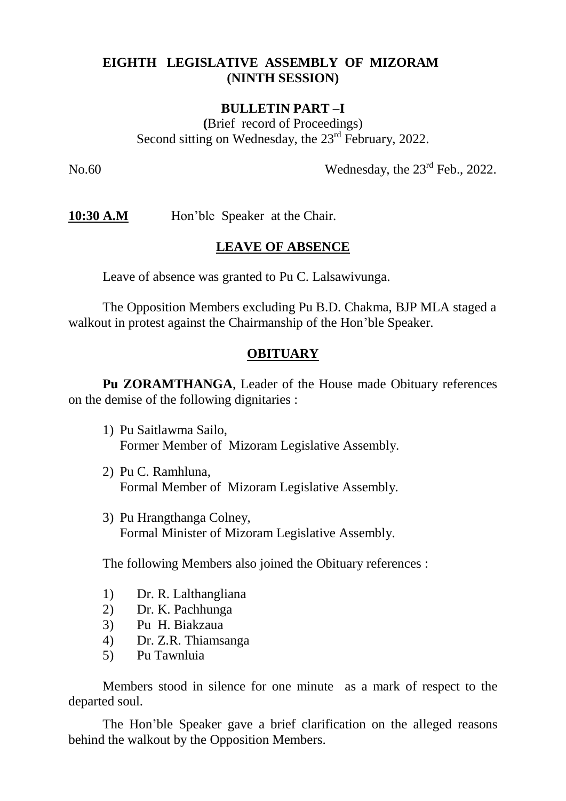## **EIGHTH LEGISLATIVE ASSEMBLY OF MIZORAM (NINTH SESSION)**

#### **BULLETIN PART –I**

**(**Brief record of Proceedings) Second sitting on Wednesday, the 23<sup>rd</sup> February, 2022.

No.60 Wednesday, the  $23<sup>rd</sup>$  Feb., 2022.

**10:30 A.M** Hon'ble Speaker at the Chair.

#### **LEAVE OF ABSENCE**

Leave of absence was granted to Pu C. Lalsawivunga.

The Opposition Members excluding Pu B.D. Chakma, BJP MLA staged a walkout in protest against the Chairmanship of the Hon'ble Speaker.

### **OBITUARY**

**Pu ZORAMTHANGA**, Leader of the House made Obituary references on the demise of the following dignitaries :

- 1) Pu Saitlawma Sailo, Former Member of Mizoram Legislative Assembly.
- 2) Pu C. Ramhluna, Formal Member of Mizoram Legislative Assembly.
- 3) Pu Hrangthanga Colney, Formal Minister of Mizoram Legislative Assembly.

The following Members also joined the Obituary references :

- 1) Dr. R. Lalthangliana
- 2) Dr. K. Pachhunga
- 3) Pu H. Biakzaua
- 4) Dr. Z.R. Thiamsanga
- 5) Pu Tawnluia

Members stood in silence for one minute as a mark of respect to the departed soul.

The Hon'ble Speaker gave a brief clarification on the alleged reasons behind the walkout by the Opposition Members.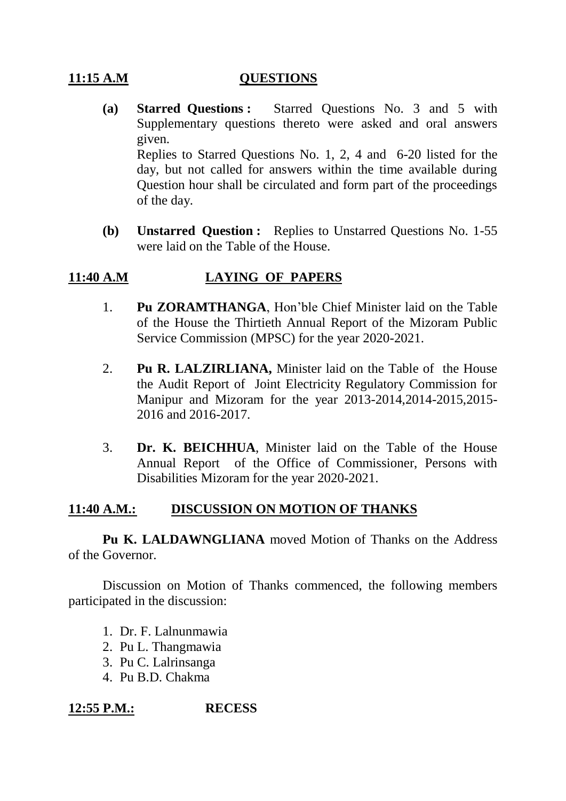## **11:15 A.M QUESTIONS**

- **(a) Starred Questions :** Starred Questions No. 3 and 5 with Supplementary questions thereto were asked and oral answers given. Replies to Starred Questions No. 1, 2, 4 and 6-20 listed for the day, but not called for answers within the time available during Question hour shall be circulated and form part of the proceedings of the day.
- **(b) Unstarred Question :** Replies to Unstarred Questions No. 1-55 were laid on the Table of the House.

## **11:40 A.M LAYING OF PAPERS**

- 1. **Pu ZORAMTHANGA**, Hon'ble Chief Minister laid on the Table of the House the Thirtieth Annual Report of the Mizoram Public Service Commission (MPSC) for the year 2020-2021.
- 2. **Pu R. LALZIRLIANA,** Minister laid on the Table of the House the Audit Report of Joint Electricity Regulatory Commission for Manipur and Mizoram for the year 2013-2014,2014-2015,2015- 2016 and 2016-2017.
- 3. **Dr. K. BEICHHUA**, Minister laid on the Table of the House Annual Report of the Office of Commissioner, Persons with Disabilities Mizoram for the year 2020-2021.

## **11:40 A.M.: DISCUSSION ON MOTION OF THANKS**

**Pu K. LALDAWNGLIANA** moved Motion of Thanks on the Address of the Governor.

Discussion on Motion of Thanks commenced, the following members participated in the discussion:

- 1. Dr. F. Lalnunmawia
- 2. Pu L. Thangmawia
- 3. Pu C. Lalrinsanga
- 4. Pu B.D. Chakma

**12:55 P.M.: RECESS**